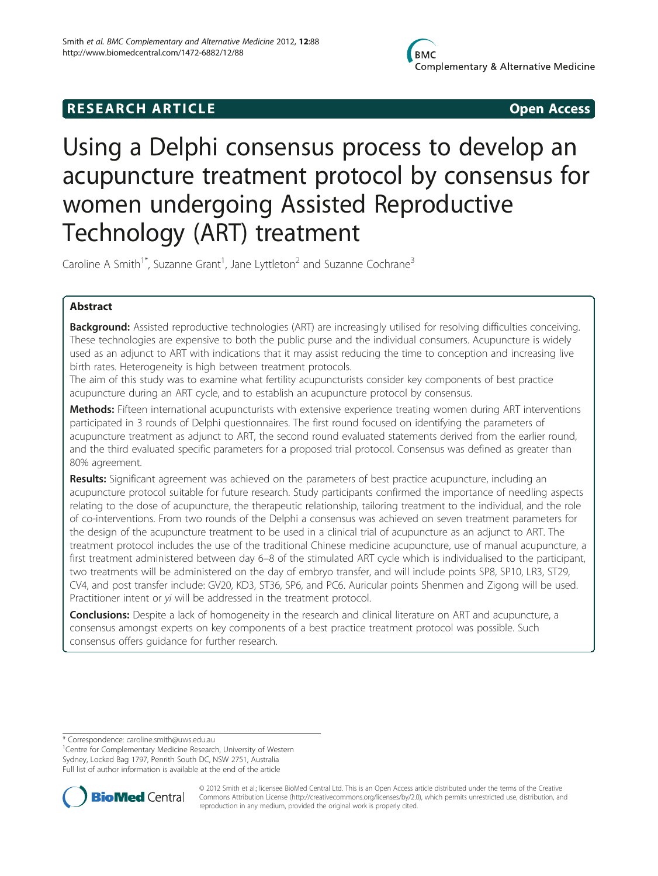# R E S EAR CH A R TIC L E Open Access

# Using a Delphi consensus process to develop an acupuncture treatment protocol by consensus for women undergoing Assisted Reproductive Technology (ART) treatment

Caroline A Smith<sup>1\*</sup>, Suzanne Grant<sup>1</sup>, Jane Lyttleton<sup>2</sup> and Suzanne Cochrane<sup>3</sup>

# Abstract

**Background:** Assisted reproductive technologies (ART) are increasingly utilised for resolving difficulties conceiving. These technologies are expensive to both the public purse and the individual consumers. Acupuncture is widely used as an adjunct to ART with indications that it may assist reducing the time to conception and increasing live birth rates. Heterogeneity is high between treatment protocols.

The aim of this study was to examine what fertility acupuncturists consider key components of best practice acupuncture during an ART cycle, and to establish an acupuncture protocol by consensus.

Methods: Fifteen international acupuncturists with extensive experience treating women during ART interventions participated in 3 rounds of Delphi questionnaires. The first round focused on identifying the parameters of acupuncture treatment as adjunct to ART, the second round evaluated statements derived from the earlier round, and the third evaluated specific parameters for a proposed trial protocol. Consensus was defined as greater than 80% agreement.

Results: Significant agreement was achieved on the parameters of best practice acupuncture, including an acupuncture protocol suitable for future research. Study participants confirmed the importance of needling aspects relating to the dose of acupuncture, the therapeutic relationship, tailoring treatment to the individual, and the role of co-interventions. From two rounds of the Delphi a consensus was achieved on seven treatment parameters for the design of the acupuncture treatment to be used in a clinical trial of acupuncture as an adjunct to ART. The treatment protocol includes the use of the traditional Chinese medicine acupuncture, use of manual acupuncture, a first treatment administered between day 6–8 of the stimulated ART cycle which is individualised to the participant, two treatments will be administered on the day of embryo transfer, and will include points SP8, SP10, LR3, ST29, CV4, and post transfer include: GV20, KD3, ST36, SP6, and PC6. Auricular points Shenmen and Zigong will be used. Practitioner intent or yi will be addressed in the treatment protocol.

**Conclusions:** Despite a lack of homogeneity in the research and clinical literature on ART and acupuncture, a consensus amongst experts on key components of a best practice treatment protocol was possible. Such consensus offers guidance for further research.

<sup>1</sup> Centre for Complementary Medicine Research, University of Western Sydney, Locked Bag 1797, Penrith South DC, NSW 2751, Australia Full list of author information is available at the end of the article



© 2012 Smith et al.; licensee BioMed Central Ltd. This is an Open Access article distributed under the terms of the Creative Commons Attribution License [\(http://creativecommons.org/licenses/by/2.0\)](http://creativecommons.org/licenses/by/2.0), which permits unrestricted use, distribution, and reproduction in any medium, provided the original work is properly cited.

<sup>\*</sup> Correspondence: [caroline.smith@uws.edu.au](mailto:caroline.smith@uws.edu.au) <sup>1</sup>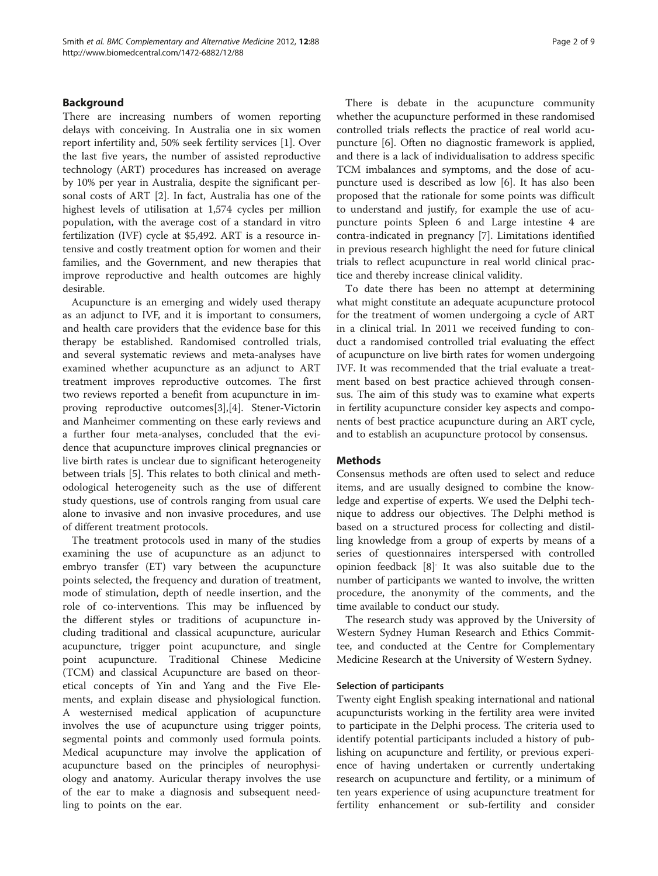#### Background

There are increasing numbers of women reporting delays with conceiving. In Australia one in six women report infertility and, 50% seek fertility services [[1\]](#page-8-0). Over the last five years, the number of assisted reproductive technology (ART) procedures has increased on average by 10% per year in Australia, despite the significant personal costs of ART [\[2](#page-8-0)]. In fact, Australia has one of the highest levels of utilisation at 1,574 cycles per million population, with the average cost of a standard in vitro fertilization (IVF) cycle at \$5,492. ART is a resource intensive and costly treatment option for women and their families, and the Government, and new therapies that improve reproductive and health outcomes are highly desirable.

Acupuncture is an emerging and widely used therapy as an adjunct to IVF, and it is important to consumers, and health care providers that the evidence base for this therapy be established. Randomised controlled trials, and several systematic reviews and meta-analyses have examined whether acupuncture as an adjunct to ART treatment improves reproductive outcomes. The first two reviews reported a benefit from acupuncture in improving reproductive outcomes[[3\]](#page-8-0),[\[4](#page-8-0)]. Stener-Victorin and Manheimer commenting on these early reviews and a further four meta-analyses, concluded that the evidence that acupuncture improves clinical pregnancies or live birth rates is unclear due to significant heterogeneity between trials [[5\]](#page-8-0). This relates to both clinical and methodological heterogeneity such as the use of different study questions, use of controls ranging from usual care alone to invasive and non invasive procedures, and use of different treatment protocols.

The treatment protocols used in many of the studies examining the use of acupuncture as an adjunct to embryo transfer (ET) vary between the acupuncture points selected, the frequency and duration of treatment, mode of stimulation, depth of needle insertion, and the role of co-interventions. This may be influenced by the different styles or traditions of acupuncture including traditional and classical acupuncture, auricular acupuncture, trigger point acupuncture, and single point acupuncture. Traditional Chinese Medicine (TCM) and classical Acupuncture are based on theoretical concepts of Yin and Yang and the Five Elements, and explain disease and physiological function. A westernised medical application of acupuncture involves the use of acupuncture using trigger points, segmental points and commonly used formula points. Medical acupuncture may involve the application of acupuncture based on the principles of neurophysiology and anatomy. Auricular therapy involves the use of the ear to make a diagnosis and subsequent needling to points on the ear.

There is debate in the acupuncture community whether the acupuncture performed in these randomised controlled trials reflects the practice of real world acupuncture [[6](#page-8-0)]. Often no diagnostic framework is applied, and there is a lack of individualisation to address specific TCM imbalances and symptoms, and the dose of acupuncture used is described as low [\[6](#page-8-0)]. It has also been proposed that the rationale for some points was difficult to understand and justify, for example the use of acupuncture points Spleen 6 and Large intestine 4 are contra-indicated in pregnancy [\[7](#page-8-0)]. Limitations identified in previous research highlight the need for future clinical trials to reflect acupuncture in real world clinical practice and thereby increase clinical validity.

To date there has been no attempt at determining what might constitute an adequate acupuncture protocol for the treatment of women undergoing a cycle of ART in a clinical trial. In 2011 we received funding to conduct a randomised controlled trial evaluating the effect of acupuncture on live birth rates for women undergoing IVF. It was recommended that the trial evaluate a treatment based on best practice achieved through consensus. The aim of this study was to examine what experts in fertility acupuncture consider key aspects and components of best practice acupuncture during an ART cycle, and to establish an acupuncture protocol by consensus.

#### **Methods**

Consensus methods are often used to select and reduce items, and are usually designed to combine the knowledge and expertise of experts. We used the Delphi technique to address our objectives. The Delphi method is based on a structured process for collecting and distilling knowledge from a group of experts by means of a series of questionnaires interspersed with controlled opinion feedback [[8\]](#page-8-0). It was also suitable due to the number of participants we wanted to involve, the written procedure, the anonymity of the comments, and the time available to conduct our study.

The research study was approved by the University of Western Sydney Human Research and Ethics Committee, and conducted at the Centre for Complementary Medicine Research at the University of Western Sydney.

#### Selection of participants

Twenty eight English speaking international and national acupuncturists working in the fertility area were invited to participate in the Delphi process. The criteria used to identify potential participants included a history of publishing on acupuncture and fertility, or previous experience of having undertaken or currently undertaking research on acupuncture and fertility, or a minimum of ten years experience of using acupuncture treatment for fertility enhancement or sub-fertility and consider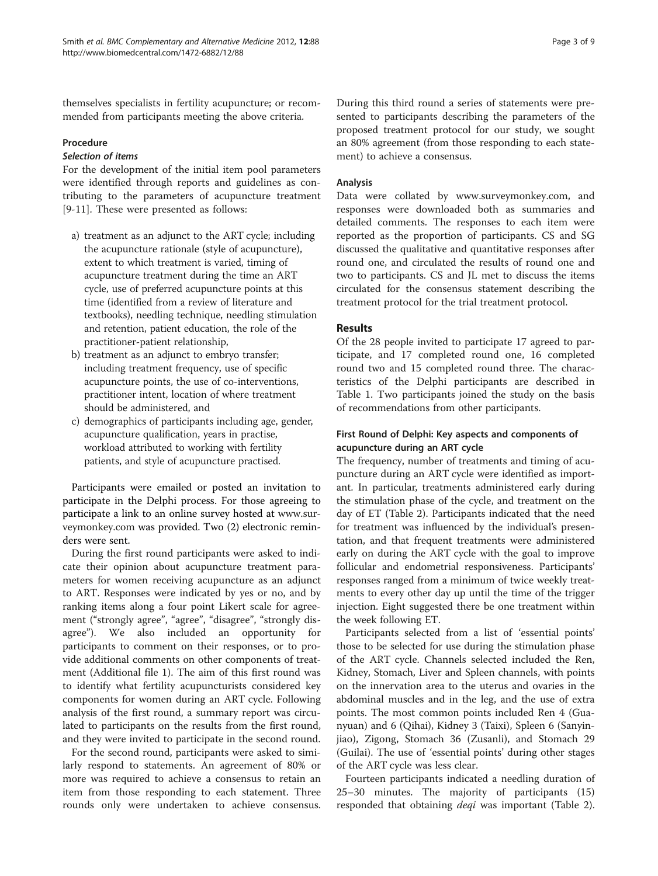themselves specialists in fertility acupuncture; or recommended from participants meeting the above criteria.

#### Procedure

#### Selection of items

For the development of the initial item pool parameters were identified through reports and guidelines as contributing to the parameters of acupuncture treatment [[9-11](#page-8-0)]. These were presented as follows:

- a) treatment as an adjunct to the ART cycle; including the acupuncture rationale (style of acupuncture), extent to which treatment is varied, timing of acupuncture treatment during the time an ART cycle, use of preferred acupuncture points at this time (identified from a review of literature and textbooks), needling technique, needling stimulation and retention, patient education, the role of the practitioner-patient relationship,
- b) treatment as an adjunct to embryo transfer; including treatment frequency, use of specific acupuncture points, the use of co-interventions, practitioner intent, location of where treatment should be administered, and
- c) demographics of participants including age, gender, acupuncture qualification, years in practise, workload attributed to working with fertility patients, and style of acupuncture practised.

Participants were emailed or posted an invitation to participate in the Delphi process. For those agreeing to participate a link to an online survey hosted at [www.sur](http://www.surveymonkey.com)[veymonkey.com](http://www.surveymonkey.com) was provided. Two (2) electronic reminders were sent.

During the first round participants were asked to indicate their opinion about acupuncture treatment parameters for women receiving acupuncture as an adjunct to ART. Responses were indicated by yes or no, and by ranking items along a four point Likert scale for agreement ("strongly agree", "agree", "disagree", "strongly disagree"). We also included an opportunity for participants to comment on their responses, or to provide additional comments on other components of treatment (Additional file [1\)](#page-7-0). The aim of this first round was to identify what fertility acupuncturists considered key components for women during an ART cycle. Following analysis of the first round, a summary report was circulated to participants on the results from the first round, and they were invited to participate in the second round.

For the second round, participants were asked to similarly respond to statements. An agreement of 80% or more was required to achieve a consensus to retain an item from those responding to each statement. Three rounds only were undertaken to achieve consensus. During this third round a series of statements were presented to participants describing the parameters of the proposed treatment protocol for our study, we sought an 80% agreement (from those responding to each statement) to achieve a consensus.

# Analysis

Data were collated by [www.surveymonkey.com](http://www.surveymonkey.com), and responses were downloaded both as summaries and detailed comments. The responses to each item were reported as the proportion of participants. CS and SG discussed the qualitative and quantitative responses after round one, and circulated the results of round one and two to participants. CS and JL met to discuss the items circulated for the consensus statement describing the treatment protocol for the trial treatment protocol.

# Results

Of the 28 people invited to participate 17 agreed to participate, and 17 completed round one, 16 completed round two and 15 completed round three. The characteristics of the Delphi participants are described in Table [1.](#page-3-0) Two participants joined the study on the basis of recommendations from other participants.

# First Round of Delphi: Key aspects and components of acupuncture during an ART cycle

The frequency, number of treatments and timing of acupuncture during an ART cycle were identified as important. In particular, treatments administered early during the stimulation phase of the cycle, and treatment on the day of ET (Table [2](#page-3-0)). Participants indicated that the need for treatment was influenced by the individual's presentation, and that frequent treatments were administered early on during the ART cycle with the goal to improve follicular and endometrial responsiveness. Participants' responses ranged from a minimum of twice weekly treatments to every other day up until the time of the trigger injection. Eight suggested there be one treatment within the week following ET.

Participants selected from a list of 'essential points' those to be selected for use during the stimulation phase of the ART cycle. Channels selected included the Ren, Kidney, Stomach, Liver and Spleen channels, with points on the innervation area to the uterus and ovaries in the abdominal muscles and in the leg, and the use of extra points. The most common points included Ren 4 (Guanyuan) and 6 (Qihai), Kidney 3 (Taixi), Spleen 6 (Sanyinjiao), Zigong, Stomach 36 (Zusanli), and Stomach 29 (Guilai). The use of 'essential points' during other stages of the ART cycle was less clear.

Fourteen participants indicated a needling duration of 25–30 minutes. The majority of participants (15) responded that obtaining *deqi* was important (Table [2](#page-3-0)).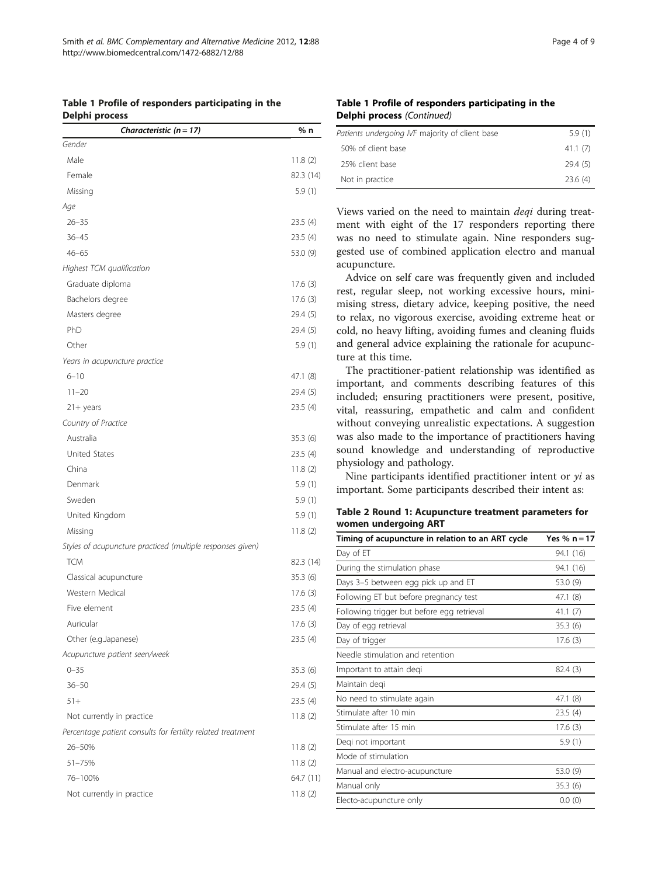<span id="page-3-0"></span>

|                | Table 1 Profile of responders participating in the |  |  |
|----------------|----------------------------------------------------|--|--|
| Delphi process |                                                    |  |  |

| Characteristic ( $n = 17$ )                                 | % n       |
|-------------------------------------------------------------|-----------|
| Gender                                                      |           |
| Male                                                        | 11.8(2)   |
| Female                                                      | 82.3 (14) |
| Missing                                                     | 5.9(1)    |
| Age                                                         |           |
| $26 - 35$                                                   | 23.5(4)   |
| $36 - 45$                                                   | 23.5(4)   |
| $46 - 65$                                                   | 53.0 (9)  |
| Highest TCM qualification                                   |           |
| Graduate diploma                                            | 17.6(3)   |
| Bachelors degree                                            | 17.6(3)   |
| Masters degree                                              | 29.4 (5)  |
| PhD                                                         | 29.4(5)   |
| Other                                                       | 5.9(1)    |
| Years in acupuncture practice                               |           |
| $6 - 10$                                                    | 47.1 (8)  |
| $11 - 20$                                                   | 29.4 (5)  |
| $21 +$ years                                                | 23.5 (4)  |
| Country of Practice                                         |           |
| Australia                                                   | 35.3(6)   |
| United States                                               | 23.5(4)   |
| China                                                       | 11.8(2)   |
| Denmark                                                     | 5.9 (1)   |
| Sweden                                                      | 5.9 (1)   |
| United Kingdom                                              | 5.9(1)    |
| Missing                                                     | 11.8(2)   |
| Styles of acupuncture practiced (multiple responses given)  |           |
| <b>TCM</b>                                                  | 82.3 (14) |
| Classical acupuncture                                       | 35.3(6)   |
| Western Medical                                             | 17.6(3)   |
| Five element                                                | 23.5(4)   |
| Auricular                                                   | 17.6(3)   |
| Other (e.g.Japanese)                                        | 23.5(4)   |
| Acupuncture patient seen/week                               |           |
| $0 - 35$                                                    | 35.3(6)   |
| $36 - 50$                                                   | 29.4 (5)  |
| $51 +$                                                      | 23.5(4)   |
| Not currently in practice                                   | 11.8(2)   |
| Percentage patient consults for fertility related treatment |           |
| 26-50%                                                      | 11.8(2)   |
| 51-75%                                                      | 11.8(2)   |
| 76-100%                                                     | 64.7 (11) |
| Not currently in practice                                   | 11.8(2)   |

#### Table 1 Profile of responders participating in the Delphi process (Continued)

| Patients undergoing IVF majority of client base | 5.9(1)  |
|-------------------------------------------------|---------|
| 50% of client base                              | 41.1(7) |
| 25% client base                                 | 29.4(5) |
| Not in practice                                 | 23.6(4) |
|                                                 |         |

Views varied on the need to maintain deqi during treatment with eight of the 17 responders reporting there was no need to stimulate again. Nine responders suggested use of combined application electro and manual acupuncture.

Advice on self care was frequently given and included rest, regular sleep, not working excessive hours, minimising stress, dietary advice, keeping positive, the need to relax, no vigorous exercise, avoiding extreme heat or cold, no heavy lifting, avoiding fumes and cleaning fluids and general advice explaining the rationale for acupuncture at this time.

The practitioner-patient relationship was identified as important, and comments describing features of this included; ensuring practitioners were present, positive, vital, reassuring, empathetic and calm and confident without conveying unrealistic expectations. A suggestion was also made to the importance of practitioners having sound knowledge and understanding of reproductive physiology and pathology.

Nine participants identified practitioner intent or yi as important. Some participants described their intent as:

Table 2 Round 1: Acupuncture treatment parameters for women undergoing ART

| Timing of acupuncture in relation to an ART cycle | Yes $% n = 17$ |
|---------------------------------------------------|----------------|
| Day of ET                                         | 94.1 (16)      |
| During the stimulation phase                      | 94.1 (16)      |
| Days 3-5 between egg pick up and ET               | 53.0(9)        |
| Following ET but before pregnancy test            | 47.1(8)        |
| Following trigger but before egg retrieval        | 41.1(7)        |
| Day of egg retrieval                              | 35.3(6)        |
| Day of trigger                                    | 17.6(3)        |
| Needle stimulation and retention                  |                |
| Important to attain degi                          | 82.4(3)        |
| Maintain degi                                     |                |
| No need to stimulate again                        | 47.1(8)        |
| Stimulate after 10 min                            | 23.5(4)        |
| Stimulate after 15 min                            | 17.6(3)        |
| Degi not important                                | 5.9(1)         |
| Mode of stimulation                               |                |
| Manual and electro-acupuncture                    | 53.0 (9)       |
| Manual only                                       | 35.3(6)        |
| Electo-acupuncture only                           | 0.0(0)         |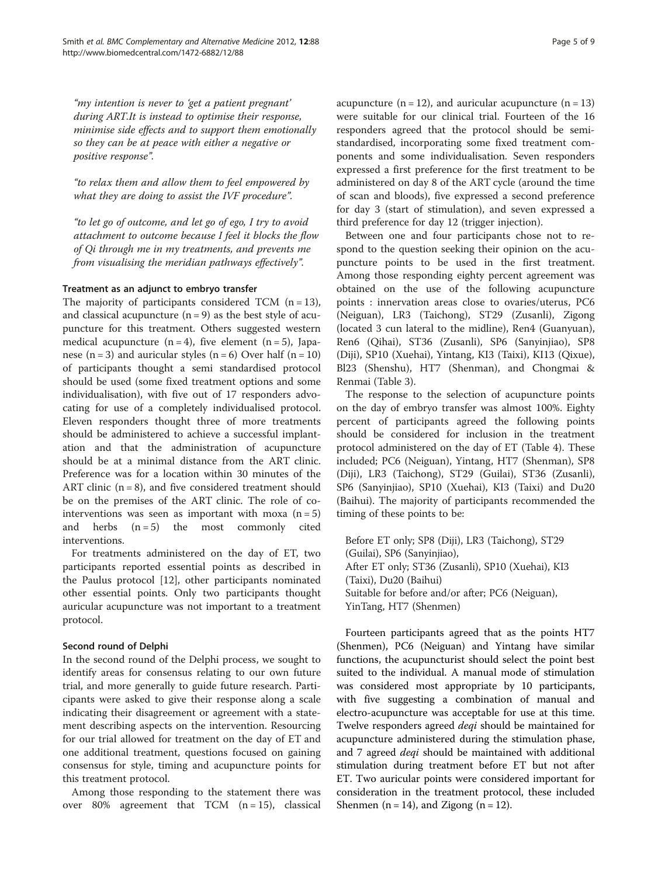"my intention is never to 'get a patient pregnant' during ART.It is instead to optimise their response, minimise side effects and to support them emotionally so they can be at peace with either a negative or positive response".

"to relax them and allow them to feel empowered by what they are doing to assist the IVF procedure".

"to let go of outcome, and let go of ego, I try to avoid attachment to outcome because I feel it blocks the flow of Qi through me in my treatments, and prevents me from visualising the meridian pathways effectively".

#### Treatment as an adjunct to embryo transfer

The majority of participants considered TCM  $(n = 13)$ , and classical acupuncture  $(n = 9)$  as the best style of acupuncture for this treatment. Others suggested western medical acupuncture  $(n = 4)$ , five element  $(n = 5)$ , Japanese (n = 3) and auricular styles (n = 6) Over half (n = 10) of participants thought a semi standardised protocol should be used (some fixed treatment options and some individualisation), with five out of 17 responders advocating for use of a completely individualised protocol. Eleven responders thought three of more treatments should be administered to achieve a successful implantation and that the administration of acupuncture should be at a minimal distance from the ART clinic. Preference was for a location within 30 minutes of the ART clinic  $(n = 8)$ , and five considered treatment should be on the premises of the ART clinic. The role of cointerventions was seen as important with moxa  $(n = 5)$ and herbs  $(n = 5)$  the most commonly cited interventions.

For treatments administered on the day of ET, two participants reported essential points as described in the Paulus protocol [[12\]](#page-8-0), other participants nominated other essential points. Only two participants thought auricular acupuncture was not important to a treatment protocol.

# Second round of Delphi

In the second round of the Delphi process, we sought to identify areas for consensus relating to our own future trial, and more generally to guide future research. Participants were asked to give their response along a scale indicating their disagreement or agreement with a statement describing aspects on the intervention. Resourcing for our trial allowed for treatment on the day of ET and one additional treatment, questions focused on gaining consensus for style, timing and acupuncture points for this treatment protocol.

Among those responding to the statement there was over 80% agreement that TCM  $(n = 15)$ , classical acupuncture  $(n = 12)$ , and auricular acupuncture  $(n = 13)$ were suitable for our clinical trial. Fourteen of the 16 responders agreed that the protocol should be semistandardised, incorporating some fixed treatment components and some individualisation. Seven responders expressed a first preference for the first treatment to be administered on day 8 of the ART cycle (around the time of scan and bloods), five expressed a second preference for day 3 (start of stimulation), and seven expressed a third preference for day 12 (trigger injection).

Between one and four participants chose not to respond to the question seeking their opinion on the acupuncture points to be used in the first treatment. Among those responding eighty percent agreement was obtained on the use of the following acupuncture points : innervation areas close to ovaries/uterus, PC6 (Neiguan), LR3 (Taichong), ST29 (Zusanli), Zigong (located 3 cun lateral to the midline), Ren4 (Guanyuan), Ren6 (Qihai), ST36 (Zusanli), SP6 (Sanyinjiao), SP8 (Diji), SP10 (Xuehai), Yintang, KI3 (Taixi), KI13 (Qixue), Bl23 (Shenshu), HT7 (Shenman), and Chongmai & Renmai (Table [3](#page-5-0)).

The response to the selection of acupuncture points on the day of embryo transfer was almost 100%. Eighty percent of participants agreed the following points should be considered for inclusion in the treatment protocol administered on the day of ET (Table [4\)](#page-6-0). These included; PC6 (Neiguan), Yintang, HT7 (Shenman), SP8 (Diji), LR3 (Taichong), ST29 (Guilai), ST36 (Zusanli), SP6 (Sanyinjiao), SP10 (Xuehai), KI3 (Taixi) and Du20 (Baihui). The majority of participants recommended the timing of these points to be:

Before ET only; SP8 (Diji), LR3 (Taichong), ST29 (Guilai), SP6 (Sanyinjiao), After ET only; ST36 (Zusanli), SP10 (Xuehai), KI3 (Taixi), Du20 (Baihui) Suitable for before and/or after; PC6 (Neiguan), YinTang, HT7 (Shenmen)

Fourteen participants agreed that as the points HT7 (Shenmen), PC6 (Neiguan) and Yintang have similar functions, the acupuncturist should select the point best suited to the individual. A manual mode of stimulation was considered most appropriate by 10 participants, with five suggesting a combination of manual and electro-acupuncture was acceptable for use at this time. Twelve responders agreed *deqi* should be maintained for acupuncture administered during the stimulation phase, and 7 agreed *deqi* should be maintained with additional stimulation during treatment before ET but not after ET. Two auricular points were considered important for consideration in the treatment protocol, these included Shenmen ( $n = 14$ ), and Zigong ( $n = 12$ ).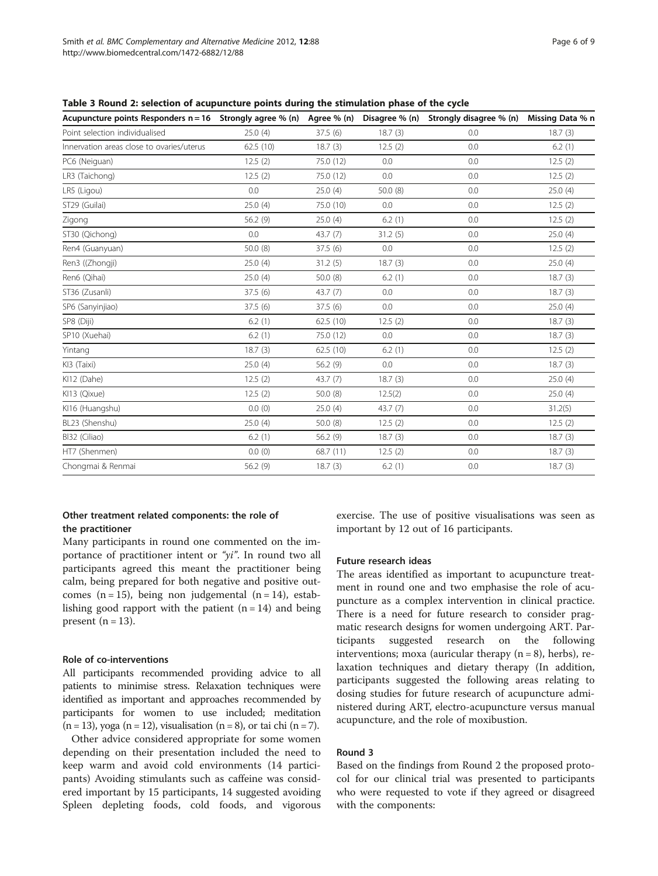| Acupuncture points Responders $n = 16$ Strongly agree % (n) Agree % (n) |          |           |         | Disagree % (n) Strongly disagree % (n) | Missing Data % n |
|-------------------------------------------------------------------------|----------|-----------|---------|----------------------------------------|------------------|
| Point selection individualised                                          | 25.0(4)  | 37.5(6)   | 18.7(3) | 0.0                                    | 18.7(3)          |
| Innervation areas close to ovaries/uterus                               | 62.5(10) | 18.7(3)   | 12.5(2) | 0.0                                    | 6.2(1)           |
| PC6 (Neiguan)                                                           | 12.5(2)  | 75.0 (12) | 0.0     | 0.0                                    | 12.5(2)          |
| LR3 (Taichong)                                                          | 12.5(2)  | 75.0 (12) | 0.0     | 0.0                                    | 12.5(2)          |
| LR5 (Ligou)                                                             | 0.0      | 25.0(4)   | 50.0(8) | 0.0                                    | 25.0(4)          |
| ST29 (Guilai)                                                           | 25.0(4)  | 75.0 (10) | 0.0     | 0.0                                    | 12.5(2)          |
| Zigong                                                                  | 56.2 (9) | 25.0(4)   | 6.2(1)  | 0.0                                    | 12.5(2)          |
| ST30 (Qichong)                                                          | 0.0      | 43.7(7)   | 31.2(5) | 0.0                                    | 25.0(4)          |
| Ren4 (Guanyuan)                                                         | 50.0(8)  | 37.5(6)   | 0.0     | 0.0                                    | 12.5(2)          |
| Ren3 ((Zhongji)                                                         | 25.0(4)  | 31.2(5)   | 18.7(3) | 0.0                                    | 25.0(4)          |
| Ren6 (Qihai)                                                            | 25.0(4)  | 50.0(8)   | 6.2(1)  | 0.0                                    | 18.7(3)          |
| ST36 (Zusanli)                                                          | 37.5(6)  | 43.7(7)   | 0.0     | 0.0                                    | 18.7(3)          |
| SP6 (Sanyinjiao)                                                        | 37.5(6)  | 37.5(6)   | 0.0     | 0.0                                    | 25.0(4)          |
| SP8 (Diji)                                                              | 6.2(1)   | 62.5(10)  | 12.5(2) | 0.0                                    | 18.7(3)          |
| SP10 (Xuehai)                                                           | 6.2(1)   | 75.0 (12) | 0.0     | 0.0                                    | 18.7(3)          |
| Yintang                                                                 | 18.7(3)  | 62.5(10)  | 6.2(1)  | 0.0                                    | 12.5(2)          |
| KI3 (Taixi)                                                             | 25.0(4)  | 56.2(9)   | 0.0     | 0.0                                    | 18.7(3)          |
| KI12 (Dahe)                                                             | 12.5(2)  | 43.7(7)   | 18.7(3) | 0.0                                    | 25.0(4)          |
| KI13 (Qixue)                                                            | 12.5(2)  | 50.0(8)   | 12.5(2) | 0.0                                    | 25.0(4)          |
| KI16 (Huangshu)                                                         | 0.0(0)   | 25.0(4)   | 43.7(7) | 0.0                                    | 31.2(5)          |
| BL23 (Shenshu)                                                          | 25.0(4)  | 50.0(8)   | 12.5(2) | 0.0                                    | 12.5(2)          |
| BI32 (Ciliao)                                                           | 6.2(1)   | 56.2 (9)  | 18.7(3) | 0.0                                    | 18.7(3)          |
| HT7 (Shenmen)                                                           | 0.0(0)   | 68.7 (11) | 12.5(2) | 0.0                                    | 18.7(3)          |
| Chongmai & Renmai                                                       | 56.2 (9) | 18.7(3)   | 6.2(1)  | 0.0                                    | 18.7(3)          |

<span id="page-5-0"></span>Table 3 Round 2: selection of acupuncture points during the stimulation phase of the cycle

# Other treatment related components: the role of the practitioner

Many participants in round one commented on the importance of practitioner intent or "yi". In round two all participants agreed this meant the practitioner being calm, being prepared for both negative and positive outcomes  $(n = 15)$ , being non judgemental  $(n = 14)$ , establishing good rapport with the patient  $(n = 14)$  and being present  $(n = 13)$ .

#### Role of co-interventions

All participants recommended providing advice to all patients to minimise stress. Relaxation techniques were identified as important and approaches recommended by participants for women to use included; meditation  $(n = 13)$ , yoga  $(n = 12)$ , visualisation  $(n = 8)$ , or tai chi  $(n = 7)$ .

Other advice considered appropriate for some women depending on their presentation included the need to keep warm and avoid cold environments (14 participants) Avoiding stimulants such as caffeine was considered important by 15 participants, 14 suggested avoiding Spleen depleting foods, cold foods, and vigorous

exercise. The use of positive visualisations was seen as important by 12 out of 16 participants.

#### Future research ideas

The areas identified as important to acupuncture treatment in round one and two emphasise the role of acupuncture as a complex intervention in clinical practice. There is a need for future research to consider pragmatic research designs for women undergoing ART. Participants suggested research on the following interventions; moxa (auricular therapy  $(n = 8)$ , herbs), relaxation techniques and dietary therapy (In addition, participants suggested the following areas relating to dosing studies for future research of acupuncture administered during ART, electro-acupuncture versus manual acupuncture, and the role of moxibustion.

# Round 3

Based on the findings from Round 2 the proposed protocol for our clinical trial was presented to participants who were requested to vote if they agreed or disagreed with the components: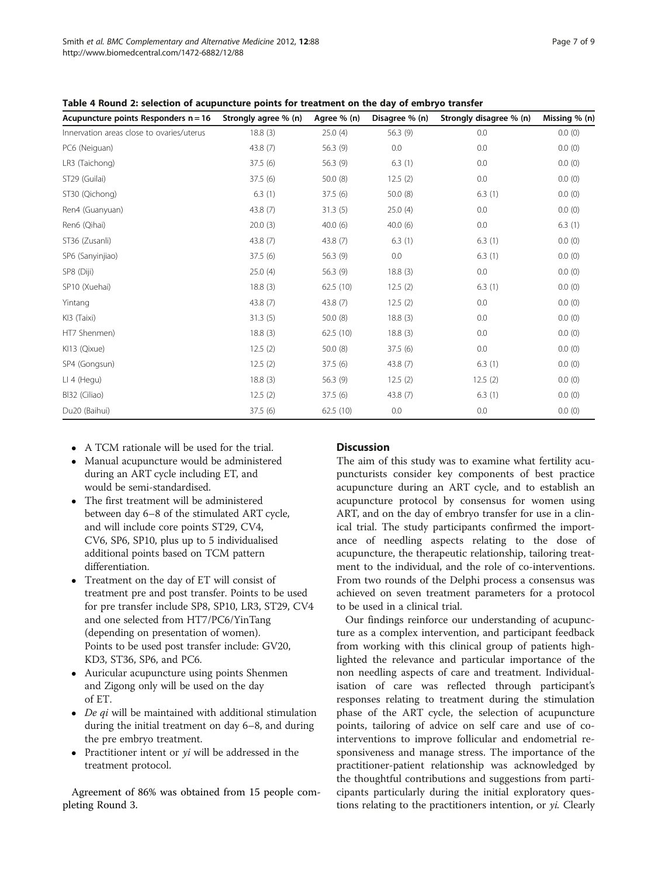<span id="page-6-0"></span>

| Table 4 Round 2: selection of acupuncture points for treatment on the day of embryo transfer |  |  |
|----------------------------------------------------------------------------------------------|--|--|
|----------------------------------------------------------------------------------------------|--|--|

| Acupuncture points Responders n = 16      | Strongly agree % (n) | Agree % (n) | Disagree % (n) | Strongly disagree % (n) | Missing % (n) |
|-------------------------------------------|----------------------|-------------|----------------|-------------------------|---------------|
| Innervation areas close to ovaries/uterus | 18.8(3)              | 25.0(4)     | 56.3(9)        | 0.0                     | 0.0(0)        |
| PC6 (Neiguan)                             | 43.8(7)              | 56.3(9)     | 0.0            | 0.0                     | 0.0(0)        |
| LR3 (Taichong)                            | 37.5(6)              | 56.3(9)     | 6.3(1)         | 0.0                     | 0.0(0)        |
| ST29 (Guilai)                             | 37.5(6)              | 50.0(8)     | 12.5(2)        | 0.0                     | 0.0(0)        |
| ST30 (Qichong)                            | 6.3(1)               | 37.5(6)     | 50.0(8)        | 6.3(1)                  | 0.0(0)        |
| Ren4 (Guanyuan)                           | 43.8(7)              | 31.3(5)     | 25.0(4)        | 0.0                     | 0.0(0)        |
| Ren6 (Qihai)                              | 20.0(3)              | 40.0(6)     | 40.0(6)        | 0.0                     | 6.3(1)        |
| ST36 (Zusanli)                            | 43.8(7)              | 43.8(7)     | 6.3(1)         | 6.3(1)                  | 0.0(0)        |
| SP6 (Sanyinjiao)                          | 37.5(6)              | 56.3(9)     | 0.0            | 6.3(1)                  | 0.0(0)        |
| SP8 (Diji)                                | 25.0(4)              | 56.3(9)     | 18.8(3)        | 0.0                     | 0.0(0)        |
| SP10 (Xuehai)                             | 18.8(3)              | 62.5 (10)   | 12.5(2)        | 6.3(1)                  | 0.0(0)        |
| Yintang                                   | 43.8(7)              | 43.8(7)     | 12.5(2)        | 0.0                     | 0.0(0)        |
| KI3 (Taixi)                               | 31.3(5)              | 50.0(8)     | 18.8(3)        | 0.0                     | 0.0(0)        |
| HT7 Shenmen)                              | 18.8(3)              | 62.5(10)    | 18.8(3)        | 0.0                     | 0.0(0)        |
| KI13 (Qixue)                              | 12.5(2)              | 50.0(8)     | 37.5(6)        | 0.0                     | 0.0(0)        |
| SP4 (Gongsun)                             | 12.5(2)              | 37.5(6)     | 43.8(7)        | 6.3(1)                  | 0.0(0)        |
| $LI$ 4 (Hegu)                             | 18.8(3)              | 56.3(9)     | 12.5(2)        | 12.5(2)                 | 0.0(0)        |
| Bl32 (Ciliao)                             | 12.5(2)              | 37.5(6)     | 43.8 (7)       | 6.3(1)                  | 0.0(0)        |
| Du20 (Baihui)                             | 37.5(6)              | 62.5(10)    | 0.0            | 0.0                     | 0.0(0)        |

- A TCM rationale will be used for the trial.
- Manual acupuncture would be administered during an ART cycle including ET, and would be semi-standardised.
- The first treatment will be administered between day 6–8 of the stimulated ART cycle, and will include core points ST29, CV4, CV6, SP6, SP10, plus up to 5 individualised additional points based on TCM pattern differentiation.
- Treatment on the day of ET will consist of treatment pre and post transfer. Points to be used for pre transfer include SP8, SP10, LR3, ST29, CV4 and one selected from HT7/PC6/YinTang (depending on presentation of women). Points to be used post transfer include: GV20, KD3, ST36, SP6, and PC6.
- Auricular acupuncture using points Shenmen and Zigong only will be used on the day of ET.
- *De qi* will be maintained with additional stimulation during the initial treatment on day 6–8, and during the pre embryo treatment.
- Practitioner intent or  $yi$  will be addressed in the treatment protocol.

Agreement of 86% was obtained from 15 people completing Round 3.

#### **Discussion**

The aim of this study was to examine what fertility acupuncturists consider key components of best practice acupuncture during an ART cycle, and to establish an acupuncture protocol by consensus for women using ART, and on the day of embryo transfer for use in a clinical trial. The study participants confirmed the importance of needling aspects relating to the dose of acupuncture, the therapeutic relationship, tailoring treatment to the individual, and the role of co-interventions. From two rounds of the Delphi process a consensus was achieved on seven treatment parameters for a protocol to be used in a clinical trial.

Our findings reinforce our understanding of acupuncture as a complex intervention, and participant feedback from working with this clinical group of patients highlighted the relevance and particular importance of the non needling aspects of care and treatment. Individualisation of care was reflected through participant's responses relating to treatment during the stimulation phase of the ART cycle, the selection of acupuncture points, tailoring of advice on self care and use of cointerventions to improve follicular and endometrial responsiveness and manage stress. The importance of the practitioner-patient relationship was acknowledged by the thoughtful contributions and suggestions from participants particularly during the initial exploratory questions relating to the practitioners intention, or  $yi$ . Clearly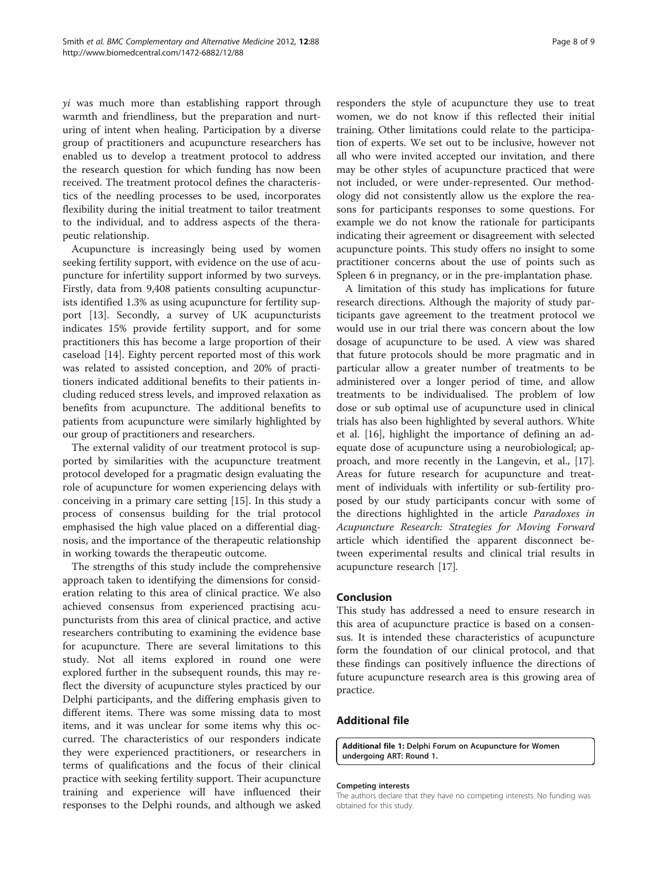<span id="page-7-0"></span> $yi$  was much more than establishing rapport through warmth and friendliness, but the preparation and nurturing of intent when healing. Participation by a diverse group of practitioners and acupuncture researchers has enabled us to develop a treatment protocol to address the research question for which funding has now been received. The treatment protocol defines the characteristics of the needling processes to be used, incorporates flexibility during the initial treatment to tailor treatment to the individual, and to address aspects of the therapeutic relationship.

Acupuncture is increasingly being used by women seeking fertility support, with evidence on the use of acupuncture for infertility support informed by two surveys. Firstly, data from 9,408 patients consulting acupuncturists identified 1.3% as using acupuncture for fertility support [[13\]](#page-8-0). Secondly, a survey of UK acupuncturists indicates 15% provide fertility support, and for some practitioners this has become a large proportion of their caseload [[14](#page-8-0)]. Eighty percent reported most of this work was related to assisted conception, and 20% of practitioners indicated additional benefits to their patients including reduced stress levels, and improved relaxation as benefits from acupuncture. The additional benefits to patients from acupuncture were similarly highlighted by our group of practitioners and researchers.

The external validity of our treatment protocol is supported by similarities with the acupuncture treatment protocol developed for a pragmatic design evaluating the role of acupuncture for women experiencing delays with conceiving in a primary care setting [\[15\]](#page-8-0). In this study a process of consensus building for the trial protocol emphasised the high value placed on a differential diagnosis, and the importance of the therapeutic relationship in working towards the therapeutic outcome.

The strengths of this study include the comprehensive approach taken to identifying the dimensions for consideration relating to this area of clinical practice. We also achieved consensus from experienced practising acupuncturists from this area of clinical practice, and active researchers contributing to examining the evidence base for acupuncture. There are several limitations to this study. Not all items explored in round one were explored further in the subsequent rounds, this may reflect the diversity of acupuncture styles practiced by our Delphi participants, and the differing emphasis given to different items. There was some missing data to most items, and it was unclear for some items why this occurred. The characteristics of our responders indicate they were experienced practitioners, or researchers in terms of qualifications and the focus of their clinical practice with seeking fertility support. Their acupuncture training and experience will have influenced their responses to the Delphi rounds, and although we asked responders the style of acupuncture they use to treat women, we do not know if this reflected their initial training. Other limitations could relate to the participation of experts. We set out to be inclusive, however not all who were invited accepted our invitation, and there may be other styles of acupuncture practiced that were not included, or were under-represented. Our methodology did not consistently allow us the explore the reasons for participants responses to some questions. For example we do not know the rationale for participants indicating their agreement or disagreement with selected acupuncture points. This study offers no insight to some practitioner concerns about the use of points such as Spleen 6 in pregnancy, or in the pre-implantation phase.

A limitation of this study has implications for future research directions. Although the majority of study participants gave agreement to the treatment protocol we would use in our trial there was concern about the low dosage of acupuncture to be used. A view was shared that future protocols should be more pragmatic and in particular allow a greater number of treatments to be administered over a longer period of time, and allow treatments to be individualised. The problem of low dose or sub optimal use of acupuncture used in clinical trials has also been highlighted by several authors. White et al. [\[16](#page-8-0)], highlight the importance of defining an adequate dose of acupuncture using a neurobiological; approach, and more recently in the Langevin, et al., [\[17](#page-8-0)]. Areas for future research for acupuncture and treatment of individuals with infertility or sub-fertility proposed by our study participants concur with some of the directions highlighted in the article Paradoxes in Acupuncture Research: Strategies for Moving Forward article which identified the apparent disconnect between experimental results and clinical trial results in acupuncture research [[17\]](#page-8-0).

#### Conclusion

This study has addressed a need to ensure research in this area of acupuncture practice is based on a consensus. It is intended these characteristics of acupuncture form the foundation of our clinical protocol, and that these findings can positively influence the directions of future acupuncture research area is this growing area of practice.

# Additional file

[Additional file 1:](http://www.biomedcentral.com/content/supplementary/2030_1389340324640156_MOESM1_ESM.docx) Delphi Forum on Acupuncture for Women undergoing ART: Round 1.

#### Competing interests

The authors declare that they have no competing interests. No funding was obtained for this study.